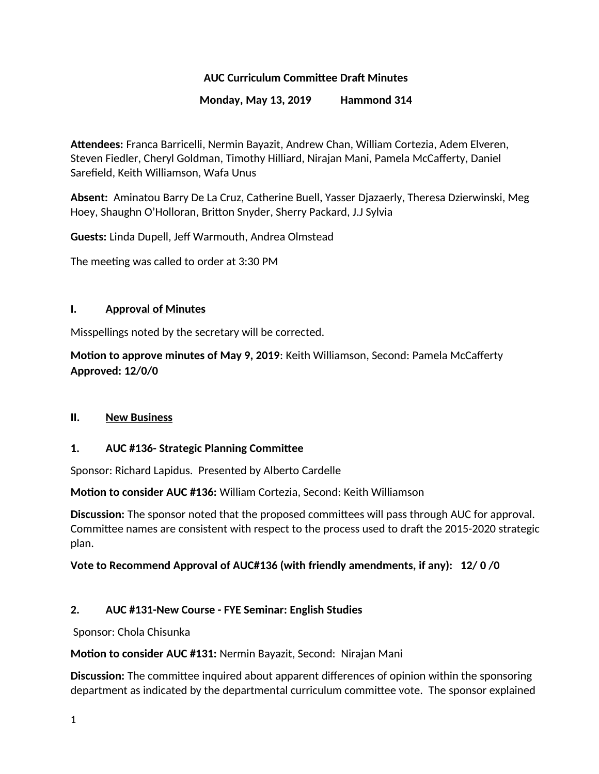## **AUC Curriculum Committee Draft Minutes**

#### **Monday, May 13, 2019 Hammond 314**

**Attendees:** Franca Barricelli, Nermin Bayazit, Andrew Chan, William Cortezia, Adem Elveren, Steven Fiedler, Cheryl Goldman, Timothy Hilliard, Nirajan Mani, Pamela McCafferty, Daniel Sarefield, Keith Williamson, Wafa Unus

**Absent:** Aminatou Barry De La Cruz, Catherine Buell, Yasser Djazaerly, Theresa Dzierwinski, Meg Hoey, Shaughn O'Holloran, Britton Snyder, Sherry Packard, J.J Sylvia

**Guests:** Linda Dupell, Jeff Warmouth, Andrea Olmstead

The meeting was called to order at 3:30 PM

#### **I. Approval of Minutes**

Misspellings noted by the secretary will be corrected.

**Motion to approve minutes of May 9, 2019**: Keith Williamson, Second: Pamela McCafferty **Approved: 12/0/0**

#### **II. New Business**

#### **1. AUC #136- Strategic Planning Committee**

Sponsor: Richard Lapidus. Presented by Alberto Cardelle

**Motion to consider AUC #136:** William Cortezia, Second: Keith Williamson

**Discussion:** The sponsor noted that the proposed committees will pass through AUC for approval. Committee names are consistent with respect to the process used to draft the 2015-2020 strategic plan.

#### **Vote to Recommend Approval of AUC#136 (with friendly amendments, if any): 12/ 0 /0**

#### **2. AUC #131-New Course - FYE Seminar: English Studies**

Sponsor: Chola Chisunka

**Motion to consider AUC #131:** Nermin Bayazit, Second: Nirajan Mani

**Discussion:** The committee inquired about apparent differences of opinion within the sponsoring department as indicated by the departmental curriculum committee vote. The sponsor explained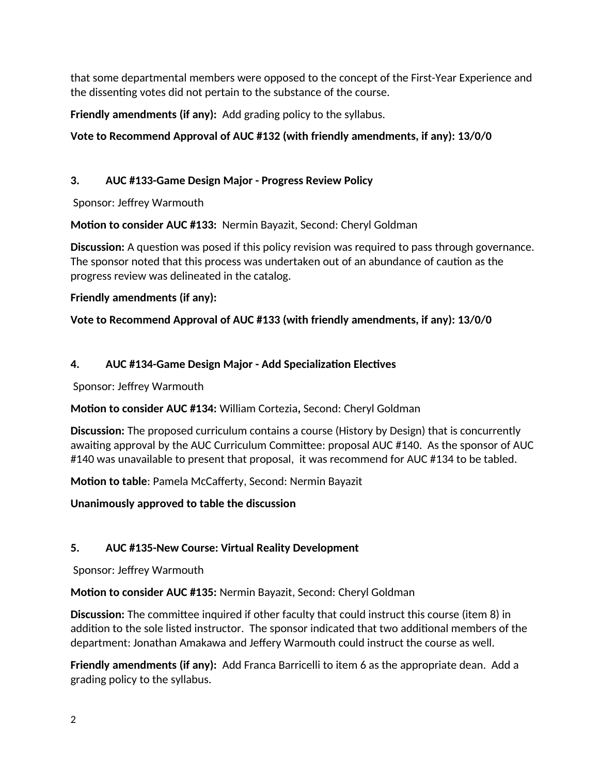that some departmental members were opposed to the concept of the First-Year Experience and the dissenting votes did not pertain to the substance of the course.

**Friendly amendments (if any):** Add grading policy to the syllabus.

# **Vote to Recommend Approval of AUC #132 (with friendly amendments, if any): 13/0/0**

# **3. AUC #133-Game Design Major - Progress Review Policy**

Sponsor: Jeffrey Warmouth

**Motion to consider AUC #133:** Nermin Bayazit, Second: Cheryl Goldman

**Discussion:** A question was posed if this policy revision was required to pass through governance. The sponsor noted that this process was undertaken out of an abundance of caution as the progress review was delineated in the catalog.

**Friendly amendments (if any):** 

**Vote to Recommend Approval of AUC #133 (with friendly amendments, if any): 13/0/0**

# **4. AUC #134-Game Design Major - Add Specialization Electives**

Sponsor: Jeffrey Warmouth

**Motion to consider AUC #134:** William Cortezia**,** Second: Cheryl Goldman

**Discussion:** The proposed curriculum contains a course (History by Design) that is concurrently awaiting approval by the AUC Curriculum Committee: proposal AUC #140. As the sponsor of AUC #140 was unavailable to present that proposal, it was recommend for AUC #134 to be tabled.

**Motion to table**: Pamela McCafferty, Second: Nermin Bayazit

**Unanimously approved to table the discussion**

# **5. AUC #135-New Course: Virtual Reality Development**

Sponsor: Jeffrey Warmouth

**Motion to consider AUC #135:** Nermin Bayazit, Second: Cheryl Goldman

**Discussion:** The committee inquired if other faculty that could instruct this course (item 8) in addition to the sole listed instructor. The sponsor indicated that two additional members of the department: Jonathan Amakawa and Jeffery Warmouth could instruct the course as well.

**Friendly amendments (if any):** Add Franca Barricelli to item 6 as the appropriate dean. Add a grading policy to the syllabus.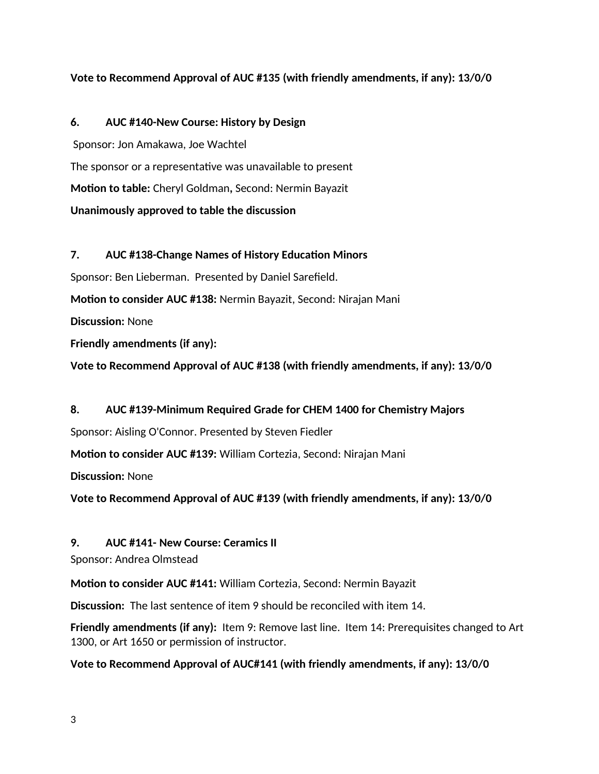#### **Vote to Recommend Approval of AUC #135 (with friendly amendments, if any): 13/0/0**

#### **6. AUC #140-New Course: History by Design**

 Sponsor: Jon Amakawa, Joe Wachtel The sponsor or a representative was unavailable to present **Motion to table:** Cheryl Goldman**,** Second: Nermin Bayazit **Unanimously approved to table the discussion**

# **7. AUC #138-Change Names of History Education Minors** Sponsor: Ben Lieberman. Presented by Daniel Sarefield. **Motion to consider AUC #138:** Nermin Bayazit, Second: Nirajan Mani **Discussion:** None **Friendly amendments (if any):**

**Vote to Recommend Approval of AUC #138 (with friendly amendments, if any): 13/0/0**

# **8. AUC #139-Minimum Required Grade for CHEM 1400 for Chemistry Majors**

Sponsor: Aisling O'Connor. Presented by Steven Fiedler

**Motion to consider AUC #139:** William Cortezia, Second: Nirajan Mani

**Discussion:** None

**Vote to Recommend Approval of AUC #139 (with friendly amendments, if any): 13/0/0**

#### **9. AUC #141- New Course: Ceramics II**

Sponsor: Andrea Olmstead

**Motion to consider AUC #141:** William Cortezia, Second: Nermin Bayazit

**Discussion:** The last sentence of item 9 should be reconciled with item 14.

**Friendly amendments (if any):** Item 9: Remove last line. Item 14: Prerequisites changed to Art 1300, or Art 1650 or permission of instructor.

**Vote to Recommend Approval of AUC#141 (with friendly amendments, if any): 13/0/0**